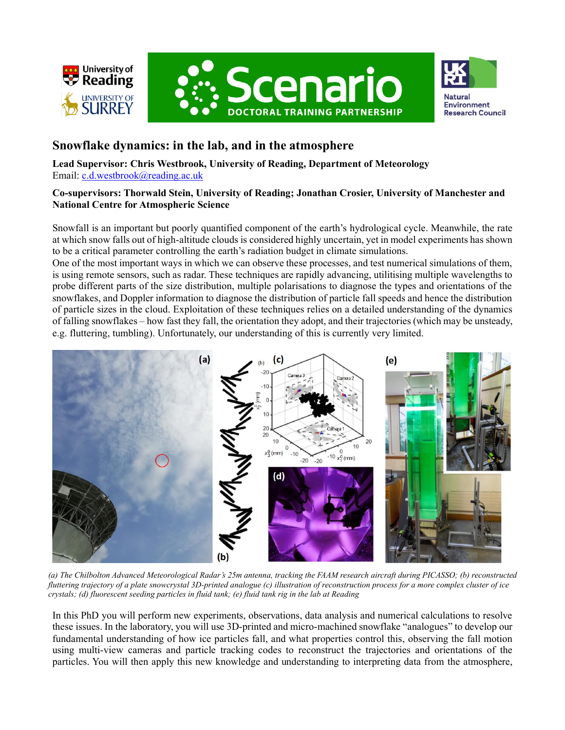





## **Snowflake dynamics: in the lab, and in the atmosphere**

**Lead Supervisor: Chris Westbrook, University of Reading, Department of Meteorology** Email: [c.d.westbrook@reading.ac.uk](mailto:c.d.westbrook@reading.ac.uk)

## **Co-supervisors: Thorwald Stein, University of Reading; Jonathan Crosier, University of Manchester and National Centre for Atmospheric Science**

Snowfall is an important but poorly quantified component of the earth's hydrological cycle. Meanwhile, the rate at which snow falls out of high-altitude clouds is considered highly uncertain, yet in model experiments has shown to be a critical parameter controlling the earth's radiation budget in climate simulations.

One of the most important ways in which we can observe these processes, and test numerical simulations of them, is using remote sensors, such as radar. These techniques are rapidly advancing, utilitising multiple wavelengths to probe different parts of the size distribution, multiple polarisations to diagnose the types and orientations of the snowflakes, and Doppler information to diagnose the distribution of particle fall speeds and hence the distribution of particle sizes in the cloud. Exploitation of these techniques relies on a detailed understanding of the dynamics of falling snowflakes – how fast they fall, the orientation they adopt, and their trajectories (which may be unsteady, e.g. fluttering, tumbling). Unfortunately, our understanding of this is currently very limited.



*(a) The Chilbolton Advanced Meteorological Radar's 25m antenna, tracking the FAAM research aircraft during PICASSO; (b) reconstructed fluttering trajectory of a plate snowcrystal 3D-printed analogue (c) illustration of reconstruction process for a more complex cluster of ice crystals; (d) fluorescent seeding particles in fluid tank; (e) fluid tank rig in the lab at Reading*

In this PhD you will perform new experiments, observations, data analysis and numerical calculations to resolve these issues. In the laboratory, you will use 3D-printed and micro-machined snowflake "analogues" to develop our fundamental understanding of how ice particles fall, and what properties control this, observing the fall motion using multi-view cameras and particle tracking codes to reconstruct the trajectories and orientations of the particles. You will then apply this new knowledge and understanding to interpreting data from the atmosphere,